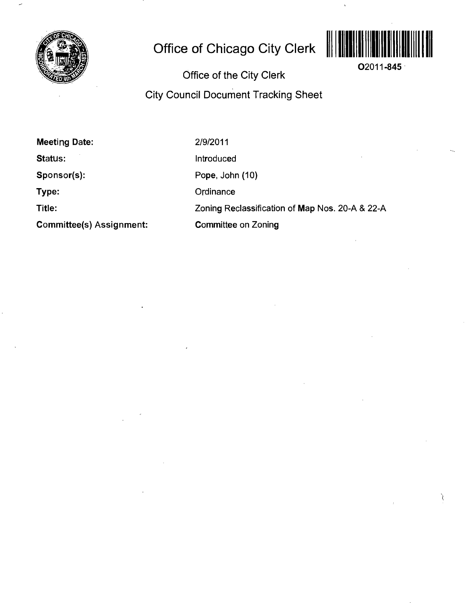

## **Office of Chicago City Clerk**



**02011-845** 

Ì

**Office of the City Clerk City Council Document Tracking Sheet** 

**Meeting Date:** 

**Status:** 

**Sponsor(s):** 

**Type:** 

**Title:** 

**Committee(s) Assignment:** 

2/9/2011

Introduced

Pope, John (10)

**Ordinance** 

Zoning Reclassification of Map Nos. 20-A & 22-A

Committee on Zoning